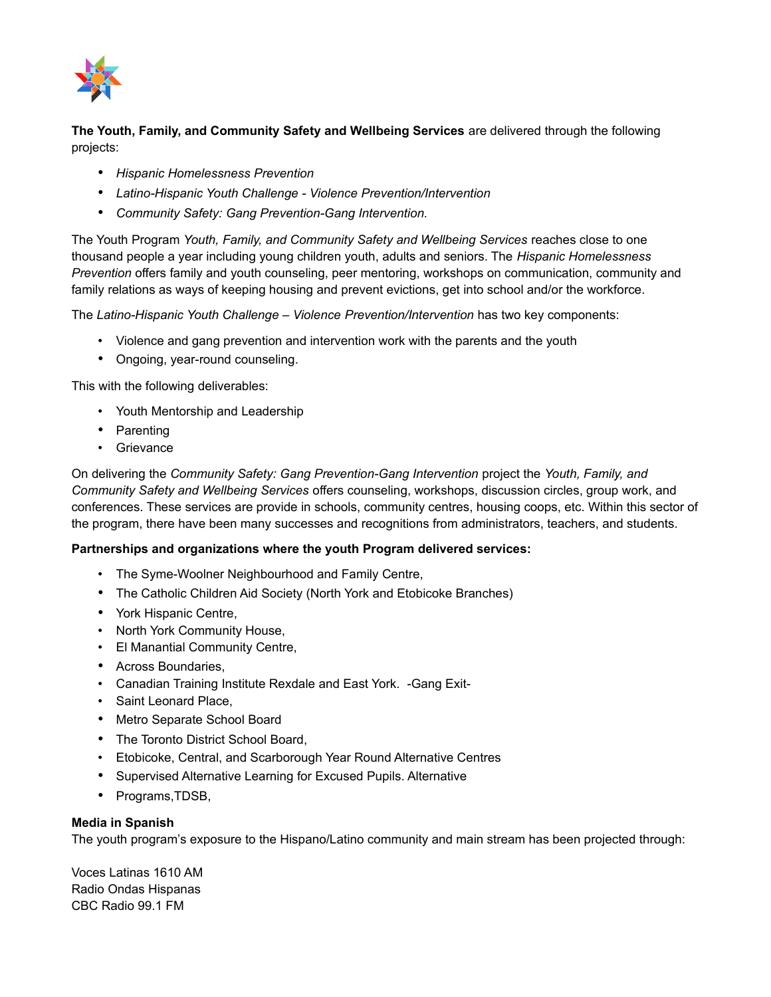

**The Youth, Family, and Community Safety and Wellbeing Services** are delivered through the following projects:

- *Hispanic Homelessness Prevention*
- *Latino-Hispanic Youth Challenge Violence Prevention/Intervention*
- *Community Safety: Gang Prevention-Gang Intervention.*

The Youth Program *Youth, Family, and Community Safety and Wellbeing Services* reaches close to one thousand people a year including young children youth, adults and seniors. The *Hispanic Homelessness Prevention* offers family and youth counseling, peer mentoring, workshops on communication, community and family relations as ways of keeping housing and prevent evictions, get into school and/or the workforce.

The *Latino-Hispanic Youth Challenge – Violence Prevention/Intervention* has two key components:

- Violence and gang prevention and intervention work with the parents and the youth
- Ongoing, year-round counseling.

This with the following deliverables:

- Youth Mentorship and Leadership
- Parenting
- Grievance

On delivering the *Community Safety: Gang Prevention-Gang Intervention* project the *Youth, Family, and Community Safety and Wellbeing Services* offers counseling, workshops, discussion circles, group work, and conferences. These services are provide in schools, community centres, housing coops, etc. Within this sector of the program, there have been many successes and recognitions from administrators, teachers, and students.

## **Partnerships and organizations where the youth Program delivered services:**

- The Syme-Woolner Neighbourhood and Family Centre,
- The Catholic Children Aid Society (North York and Etobicoke Branches)
- York Hispanic Centre,
- North York Community House,
- El Manantial Community Centre,
- Across Boundaries,
- Canadian Training Institute Rexdale and East York. -Gang Exit-
- Saint Leonard Place,
- Metro Separate School Board
- The Toronto District School Board,
- Etobicoke, Central, and Scarborough Year Round Alternative Centres
- Supervised Alternative Learning for Excused Pupils. Alternative
- Programs,TDSB,

## **Media in Spanish**

The youth program's exposure to the Hispano/Latino community and main stream has been projected through:

Voces Latinas 1610 AM Radio Ondas Hispanas CBC Radio 99.1 FM